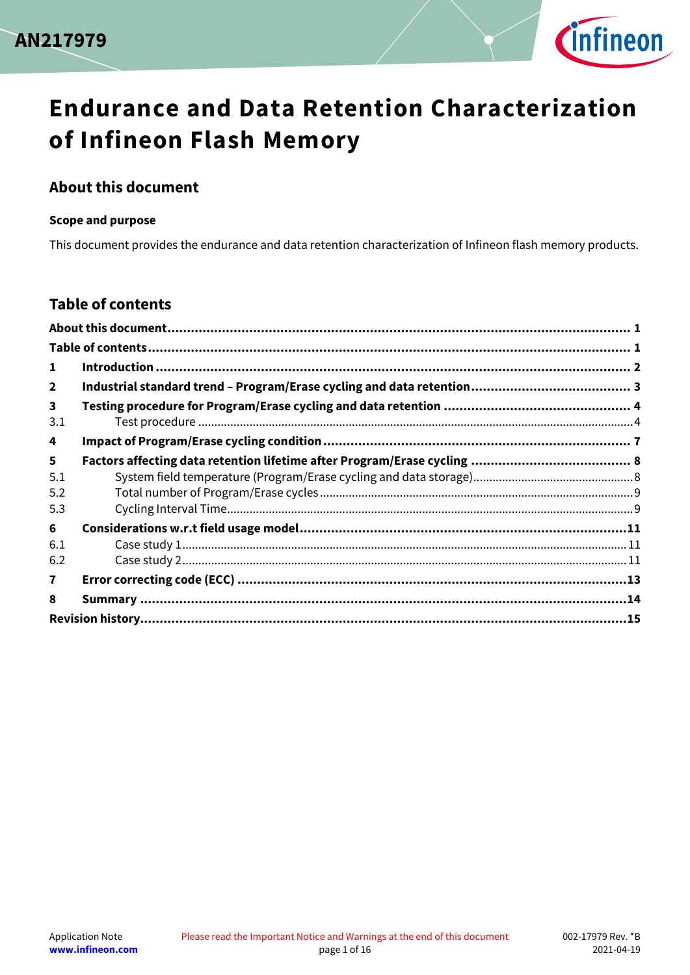



#### <span id="page-0-0"></span>**About this document**

#### **Scope and purpose**

This document provides the endurance and data retention characterization of Infineon flash memory products.

#### <span id="page-0-1"></span>**Table of contents**

| 1                              |  |
|--------------------------------|--|
| $\overline{2}$                 |  |
| $\overline{\mathbf{3}}$<br>3.1 |  |
| 4                              |  |
| 5                              |  |
| 5.1                            |  |
| 5.2                            |  |
| 5.3                            |  |
| 6                              |  |
| 6.1                            |  |
| 6.2                            |  |
| $\mathbf{7}$                   |  |
| 8                              |  |
|                                |  |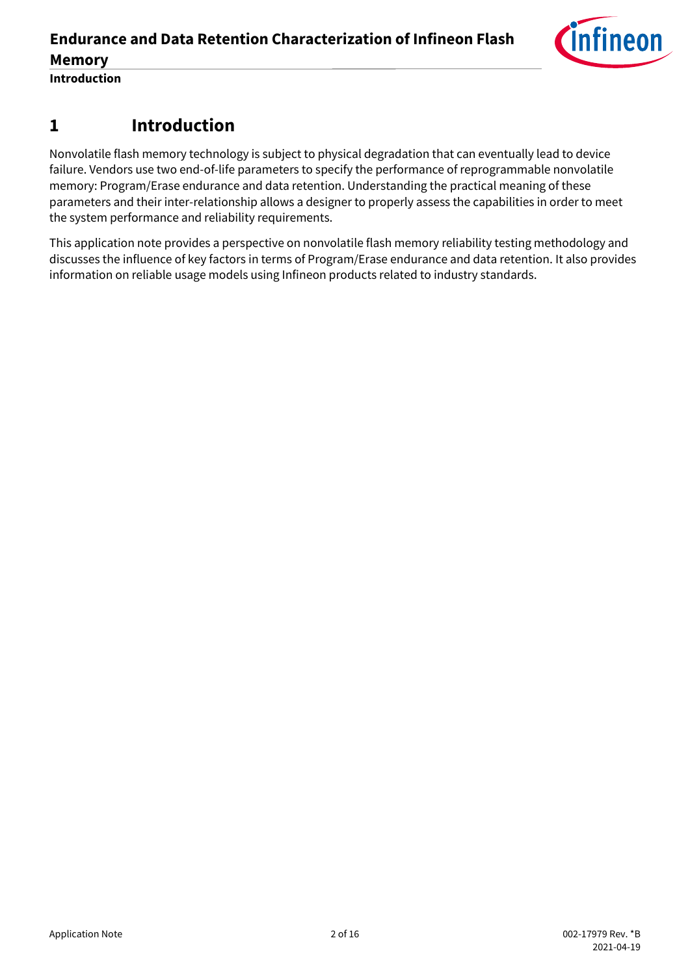

## <span id="page-1-0"></span>**1 Introduction**

Nonvolatile flash memory technology is subject to physical degradation that can eventually lead to device failure. Vendors use two end-of-life parameters to specify the performance of reprogrammable nonvolatile memory: Program/Erase endurance and data retention. Understanding the practical meaning of these parameters and their inter-relationship allows a designer to properly assess the capabilities in order to meet the system performance and reliability requirements.

This application note provides a perspective on nonvolatile flash memory reliability testing methodology and discusses the influence of key factors in terms of Program/Erase endurance and data retention. It also provides information on reliable usage models using Infineon products related to industry standards.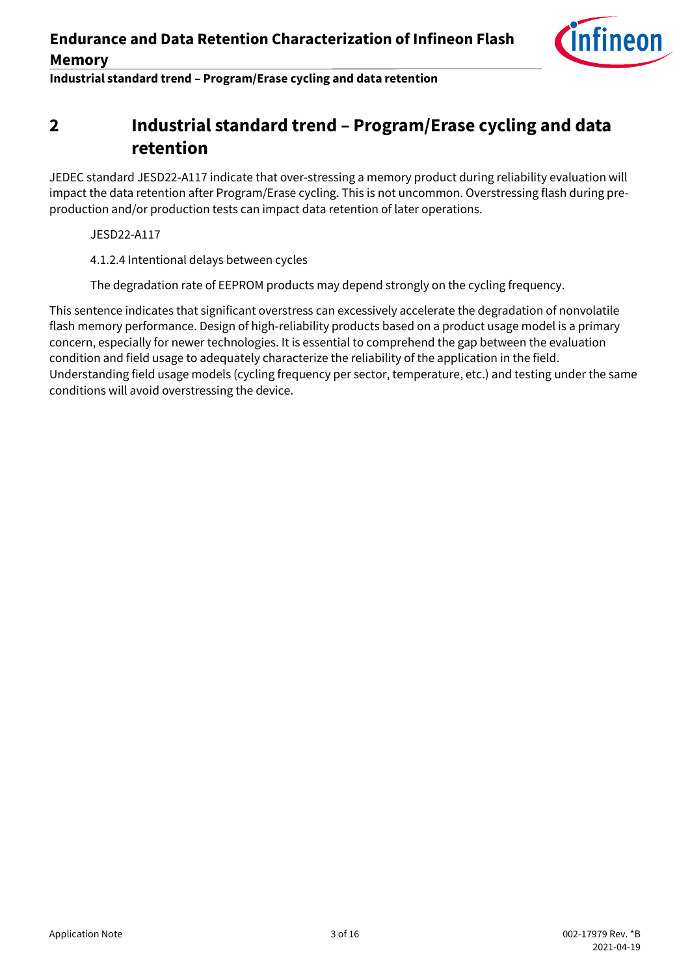

**Industrial standard trend - Program/Erase cycling and data retention** 

## <span id="page-2-0"></span>**2 Industrial standard trend – Program/Erase cycling and data retention**

JEDEC standard JESD22-A117 indicate that over-stressing a memory product during reliability evaluation will impact the data retention after Program/Erase cycling. This is not uncommon. Overstressing flash during preproduction and/or production tests can impact data retention of later operations.

JESD22-A117

4.1.2.4 Intentional delays between cycles

The degradation rate of EEPROM products may depend strongly on the cycling frequency.

This sentence indicates that significant overstress can excessively accelerate the degradation of nonvolatile flash memory performance. Design of high-reliability products based on a product usage model is a primary concern, especially for newer technologies. It is essential to comprehend the gap between the evaluation condition and field usage to adequately characterize the reliability of the application in the field. Understanding field usage models (cycling frequency per sector, temperature, etc.) and testing under the same conditions will avoid overstressing the device.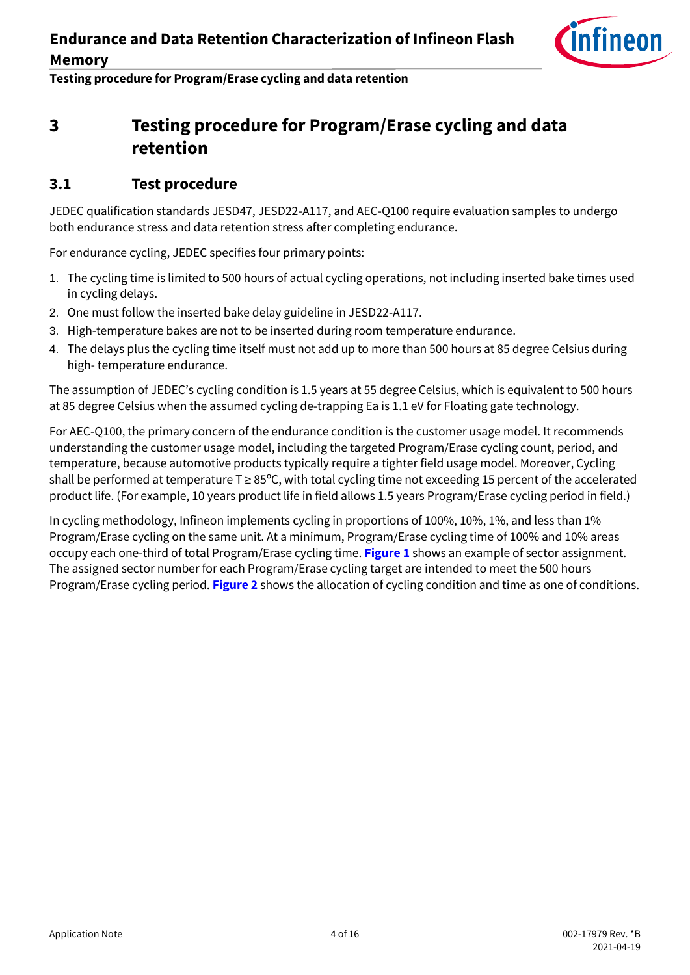

**Testing procedure for Program/Erase cycling and data retention** 

## <span id="page-3-0"></span>**3 Testing procedure for Program/Erase cycling and data retention**

#### <span id="page-3-1"></span>**3.1 Test procedure**

JEDEC qualification standards JESD47, JESD22-A117, and AEC-Q100 require evaluation samples to undergo both endurance stress and data retention stress after completing endurance.

For endurance cycling, JEDEC specifies four primary points:

- 1. The cycling time is limited to 500 hours of actual cycling operations, not including inserted bake times used in cycling delays.
- 2. One must follow the inserted bake delay guideline in JESD22-A117.
- 3. High-temperature bakes are not to be inserted during room temperature endurance.
- 4. The delays plus the cycling time itself must not add up to more than 500 hours at 85 degree Celsius during high- temperature endurance.

The assumption of JEDEC's cycling condition is 1.5 years at 55 degree Celsius, which is equivalent to 500 hours at 85 degree Celsius when the assumed cycling de-trapping Ea is 1.1 eV for Floating gate technology.

For AEC-Q100, the primary concern of the endurance condition is the customer usage model. It recommends understanding the customer usage model, including the targeted Program/Erase cycling count, period, and temperature, because automotive products typically require a tighter field usage model. Moreover, Cycling shall be performed at temperature T ≥ 85°C, with total cycling time not exceeding 15 percent of the accelerated product life. (For example, 10 years product life in field allows 1.5 years Program/Erase cycling period in field.)

In cycling methodology, Infineon implements cycling in proportions of 100%, 10%, 1%, and less than 1% Program/Erase cycling on the same unit. At a minimum, Program/Erase cycling time of 100% and 10% areas occupy each one-third of total Program/Erase cycling time. **[Figure 1](#page-4-0)** shows an example of sector assignment. The assigned sector number for each Program/Erase cycling target are intended to meet the 500 hours Program/Erase cycling period. **[Figure 2](#page-4-1)** shows the allocation of cycling condition and time as one of conditions.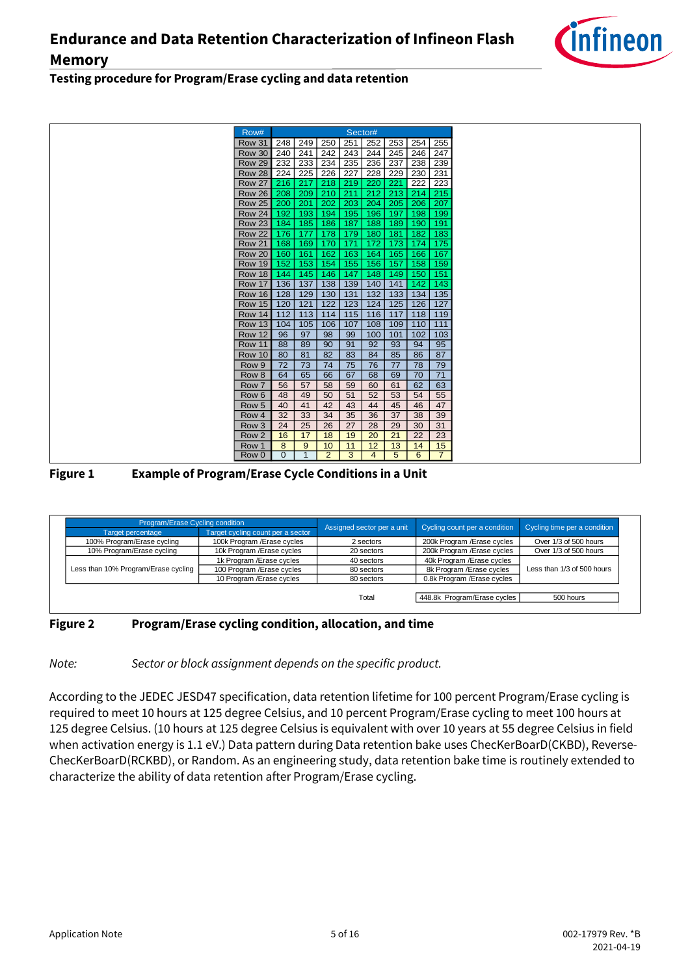

#### **Testing procedure for Program/Erase cycling and data retention**



#### <span id="page-4-0"></span>**Figure 1 Example of Program/Erase Cycle Conditions in a Unit**

| Program/Erase Cycling condition     |                                   | Assigned sector per a unit | Cycling count per a condition | Cycling time per a condition |
|-------------------------------------|-----------------------------------|----------------------------|-------------------------------|------------------------------|
| Target percentage                   | Target cycling count per a sector |                            |                               |                              |
| 100% Program/Erase cycling          | 100k Program / Erase cycles       | 2 sectors                  | 200k Program / Erase cycles   | Over 1/3 of 500 hours        |
| 10% Program/Erase cycling           | 10k Program / Erase cycles        | 20 sectors                 | 200k Program / Erase cycles   | Over 1/3 of 500 hours        |
|                                     | 1k Program / Erase cycles         | 40 sectors                 | 40k Program / Erase cycles    |                              |
| Less than 10% Program/Erase cycling | 100 Program / Erase cycles        | 80 sectors                 | 8k Program / Erase cycles     | Less than 1/3 of 500 hours   |
|                                     | 10 Program / Erase cycles         | 80 sectors                 | 0.8k Program / Erase cycles   |                              |
|                                     |                                   |                            |                               |                              |
|                                     |                                   | Total                      | 448.8k Program/Erase cycles   | 500 hours                    |
|                                     |                                   |                            |                               |                              |

#### <span id="page-4-1"></span>**Figure 2 Program/Erase cycling condition, allocation, and time**

#### *Note: Sector or block assignment depends on the specific product.*

According to the JEDEC JESD47 specification, data retention lifetime for 100 percent Program/Erase cycling is required to meet 10 hours at 125 degree Celsius, and 10 percent Program/Erase cycling to meet 100 hours at 125 degree Celsius. (10 hours at 125 degree Celsius is equivalent with over 10 years at 55 degree Celsius in field when activation energy is 1.1 eV.) Data pattern during Data retention bake uses ChecKerBoarD(CKBD), Reverse-ChecKerBoarD(RCKBD), or Random. As an engineering study, data retention bake time is routinely extended to characterize the ability of data retention after Program/Erase cycling.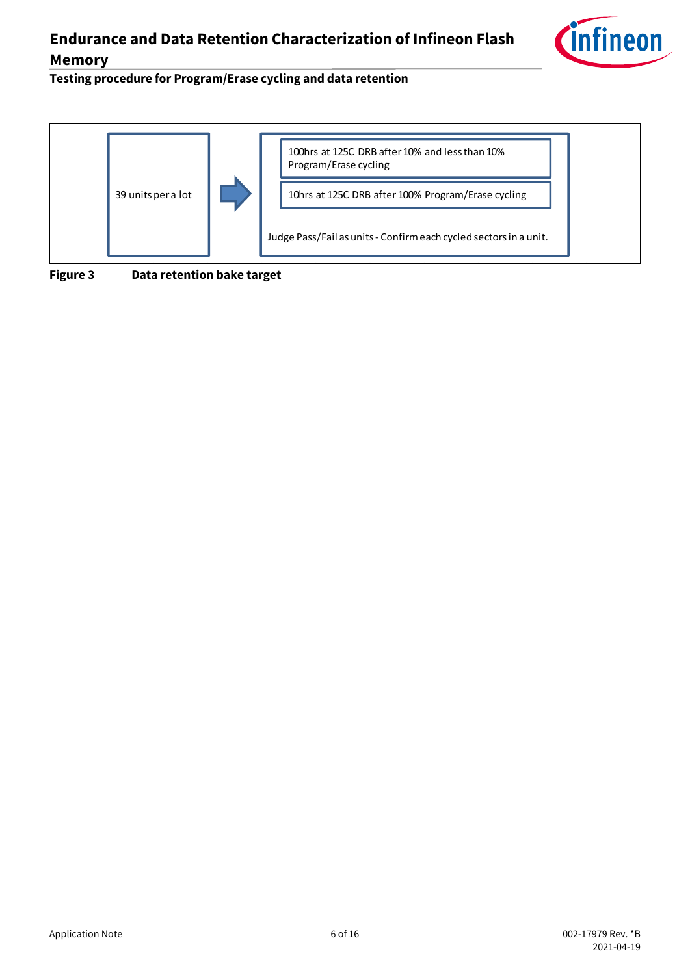

Testing procedure for Program/Erase cycling and data retention



**Figure 3 Data retention bake target**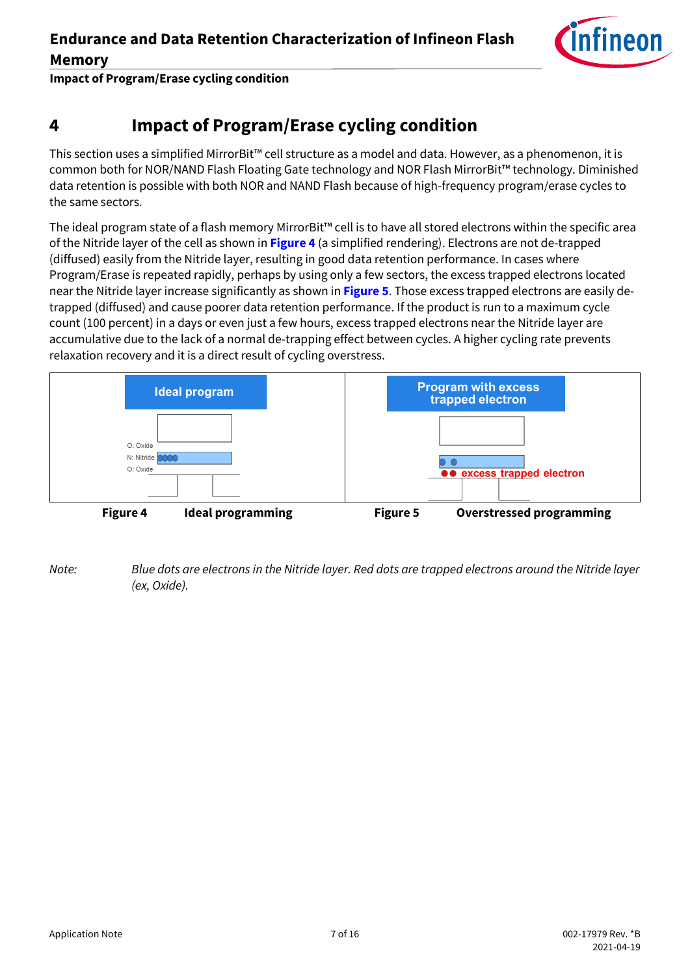

**Impact of Program/Erase cycling condition** 

## <span id="page-6-0"></span>**4 Impact of Program/Erase cycling condition**

This section uses a simplified MirrorBit™ cell structure as a model and data. However, as a phenomenon, it is common both for NOR/NAND Flash Floating Gate technology and NOR Flash MirrorBit™ technology. Diminished data retention is possible with both NOR and NAND Flash because of high-frequency program/erase cycles to the same sectors.

The ideal program state of a flash memory MirrorBit™ cell is to have all stored electrons within the specific area of the Nitride layer of the cell as shown in **[Figure 4](#page-6-1)** (a simplified rendering). Electrons are not de-trapped (diffused) easily from the Nitride layer, resulting in good data retention performance. In cases where Program/Erase is repeated rapidly, perhaps by using only a few sectors, the excess trapped electrons located near the Nitride layer increase significantly as shown in **[Figure 5](#page-6-2)**. Those excess trapped electrons are easily detrapped (diffused) and cause poorer data retention performance. If the product is run to a maximum cycle count (100 percent) in a days or even just a few hours, excess trapped electrons near the Nitride layer are accumulative due to the lack of a normal de-trapping effect between cycles. A higher cycling rate prevents relaxation recovery and it is a direct result of cycling overstress.



<span id="page-6-2"></span><span id="page-6-1"></span>*Note: Blue dots are electrons in the Nitride layer. Red dots are trapped electrons around the Nitride layer (ex, Oxide).*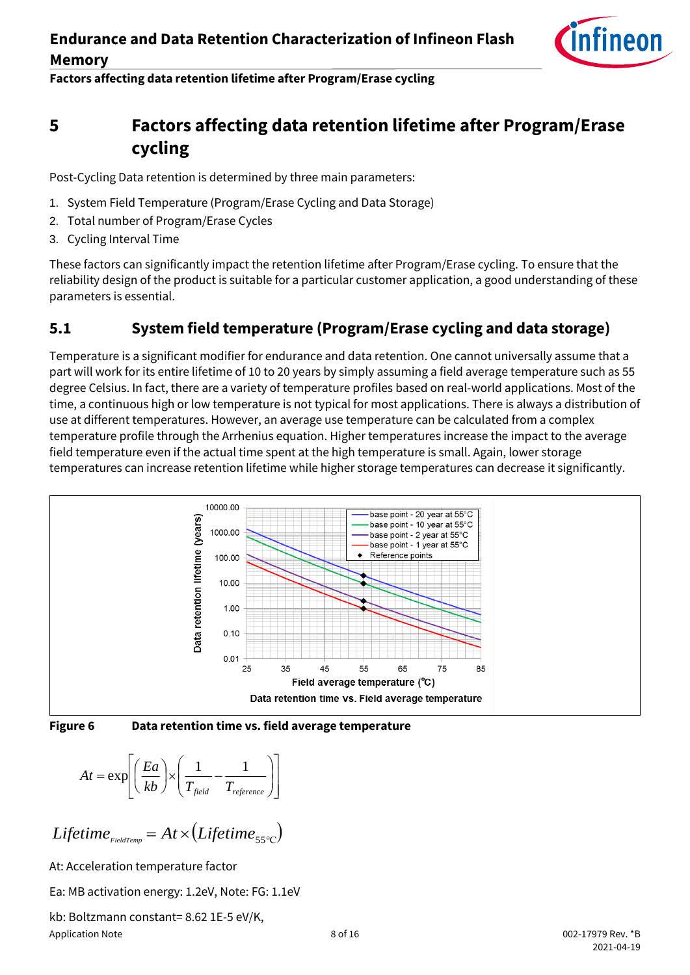

#### Factors affecting data retention lifetime after Program/Erase cycling

## <span id="page-7-0"></span>**5 Factors affecting data retention lifetime after Program/Erase cycling**

Post-Cycling Data retention is determined by three main parameters:

- 1. System Field Temperature (Program/Erase Cycling and Data Storage)
- 2. Total number of Program/Erase Cycles
- 3. Cycling Interval Time

These factors can significantly impact the retention lifetime after Program/Erase cycling. To ensure that the reliability design of the product is suitable for a particular customer application, a good understanding of these parameters is essential.

## <span id="page-7-1"></span>**5.1 System field temperature (Program/Erase cycling and data storage)**

Temperature is a significant modifier for endurance and data retention. One cannot universally assume that a part will work for its entire lifetime of 10 to 20 years by simply assuming a field average temperature such as 55 degree Celsius. In fact, there are a variety of temperature profiles based on real-world applications. Most of the time, a continuous high or low temperature is not typical for most applications. There is always a distribution of use at different temperatures. However, an average use temperature can be calculated from a complex temperature profile through the Arrhenius equation. Higher temperatures increase the impact to the average field temperature even if the actual time spent at the high temperature is small. Again, lower storage temperatures can increase retention lifetime while higher storage temperatures can decrease it significantly.





**Figure 6 Data retention time vs. field average temperature**

$$
At = \exp\left[\left(\frac{Ea}{kb}\right) \times \left(\frac{1}{T_{field}} - \frac{1}{T_{reference}}\right)\right]
$$

$$
Lifetime_{FieldTemp} = At \times (Lifetime_{55°C})
$$
\nAt: Acceleration temperature factor\nEa: MB activation energy: 1.2eV, Note: FG: 1.1eV\nkb: Boltzmann constant = 8.62 1E-5 eV/K,

At: Acceleration temperature factor

Ea: MB activation energy: 1.2eV, Note: FG: 1.1eV

Application Note 6. The set of 16 of 16 of 16 of 16 of 16 of 16 of 16 of 16 of 16 of 16 of 16 of 16 of 16 of 1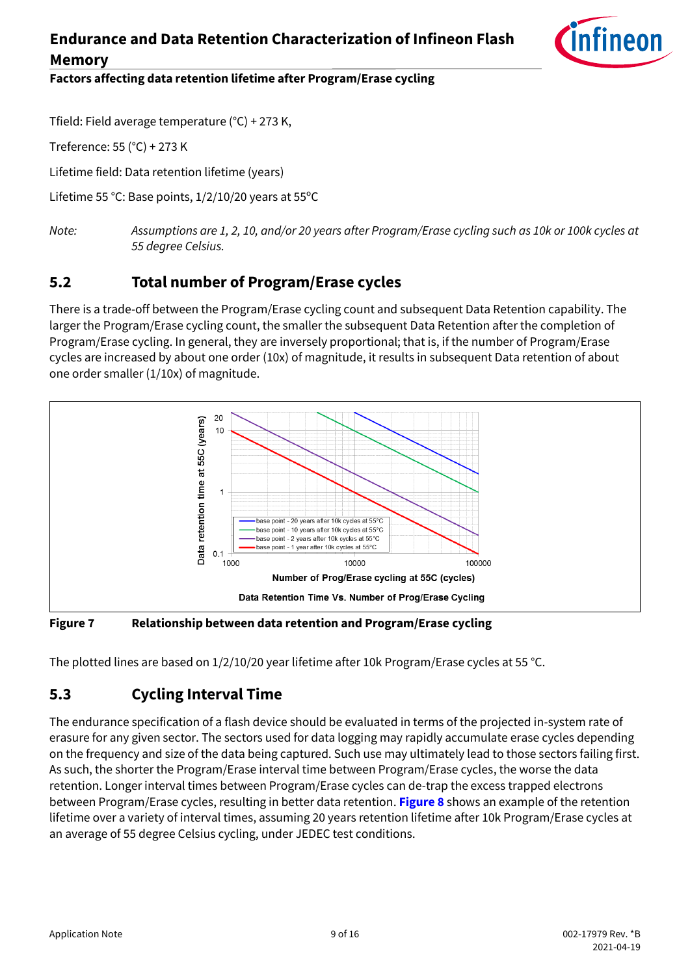

Factors affecting data retention lifetime after Program/Erase cycling

Tfield: Field average temperature (°C) + 273 K,

Treference: 55 (°C) + 273 K

Lifetime field: Data retention lifetime (years)

Lifetime 55 °C: Base points, 1/2/10/20 years at 55ºC

*Note: Assumptions are 1, 2, 10, and/or 20 years after Program/Erase cycling such as 10k or 100k cycles at 55 degree Celsius.* 

#### <span id="page-8-0"></span>**5.2 Total number of Program/Erase cycles**

There is a trade-off between the Program/Erase cycling count and subsequent Data Retention capability. The larger the Program/Erase cycling count, the smaller the subsequent Data Retention after the completion of Program/Erase cycling. In general, they are inversely proportional; that is, if the number of Program/Erase cycles are increased by about one order (10x) of magnitude, it results in subsequent Data retention of about one order smaller (1/10x) of magnitude.



**Figure 7 Relationship between data retention and Program/Erase cycling**

The plotted lines are based on 1/2/10/20 year lifetime after 10k Program/Erase cycles at 55 °C.

### <span id="page-8-1"></span>**5.3 Cycling Interval Time**

The endurance specification of a flash device should be evaluated in terms of the projected in-system rate of erasure for any given sector. The sectors used for data logging may rapidly accumulate erase cycles depending on the frequency and size of the data being captured. Such use may ultimately lead to those sectors failing first. As such, the shorter the Program/Erase interval time between Program/Erase cycles, the worse the data retention. Longer interval times between Program/Erase cycles can de-trap the excess trapped electrons between Program/Erase cycles, resulting in better data retention. **[Figure 8](#page-9-0)** shows an example of the retention lifetime over a variety of interval times, assuming 20 years retention lifetime after 10k Program/Erase cycles at an average of 55 degree Celsius cycling, under JEDEC test conditions.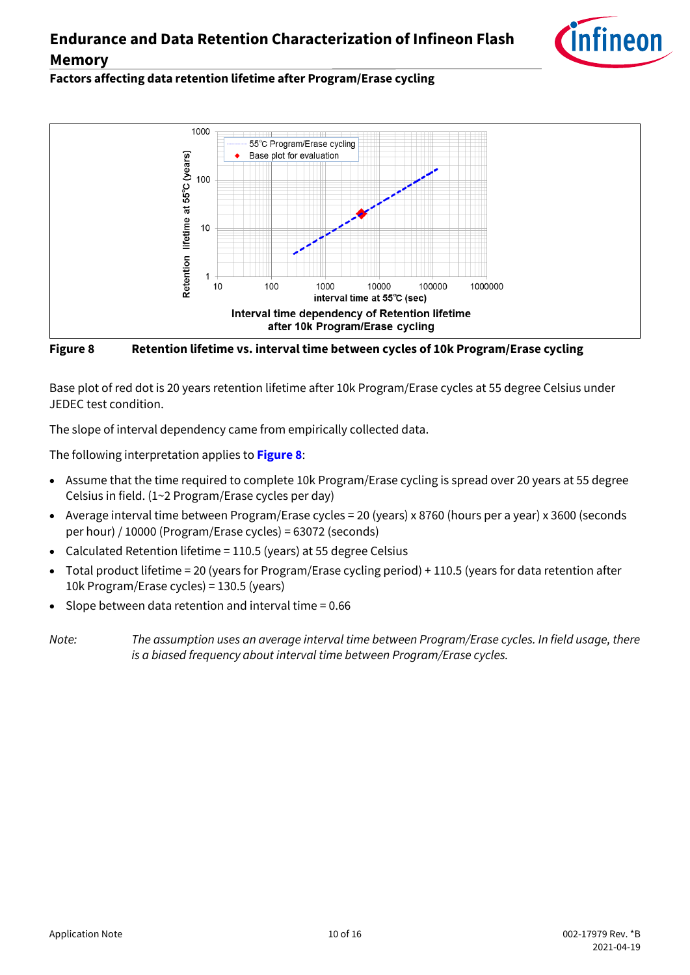

#### Factors affecting data retention lifetime after Program/Erase cycling



<span id="page-9-0"></span>**Figure 8 Retention lifetime vs. interval time between cycles of 10k Program/Erase cycling**

Base plot of red dot is 20 years retention lifetime after 10k Program/Erase cycles at 55 degree Celsius under JEDEC test condition.

The slope of interval dependency came from empirically collected data.

The following interpretation applies to **[Figure 8](#page-9-0)**:

- Assume that the time required to complete 10k Program/Erase cycling is spread over 20 years at 55 degree Celsius in field. (1~2 Program/Erase cycles per day)
- Average interval time between Program/Erase cycles = 20 (years) x 8760 (hours per a year) x 3600 (seconds per hour) / 10000 (Program/Erase cycles) = 63072 (seconds)
- Calculated Retention lifetime = 110.5 (years) at 55 degree Celsius
- Total product lifetime = 20 (years for Program/Erase cycling period) + 110.5 (years for data retention after 10k Program/Erase cycles) = 130.5 (years)
- Slope between data retention and interval time = 0.66

*Note: The assumption uses an average interval time between Program/Erase cycles. In field usage, there is a biased frequency about interval time between Program/Erase cycles.*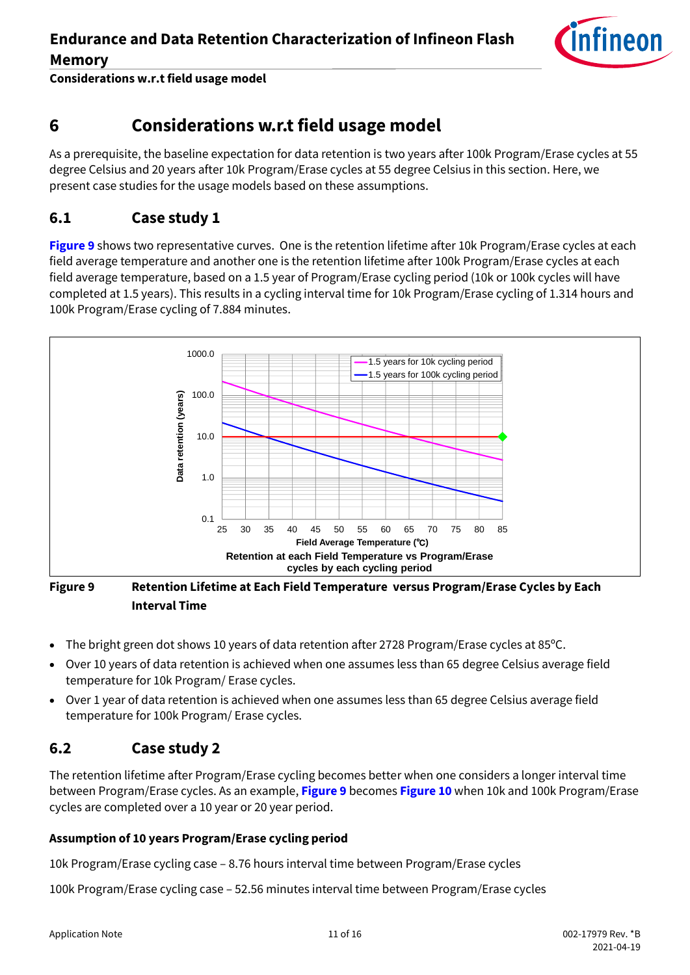

**Considerations w.r.t field usage model** 

## <span id="page-10-0"></span>**6 Considerations w.r.t field usage model**

As a prerequisite, the baseline expectation for data retention is two years after 100k Program/Erase cycles at 55 degree Celsius and 20 years after 10k Program/Erase cycles at 55 degree Celsius in this section. Here, we present case studies for the usage models based on these assumptions.

#### <span id="page-10-1"></span>**6.1 Case study 1**

**[Figure 9](#page-10-3)** shows two representative curves. One is the retention lifetime after 10k Program/Erase cycles at each field average temperature and another one is the retention lifetime after 100k Program/Erase cycles at each field average temperature, based on a 1.5 year of Program/Erase cycling period (10k or 100k cycles will have completed at 1.5 years). This results in a cycling interval time for 10k Program/Erase cycling of 1.314 hours and 100k Program/Erase cycling of 7.884 minutes.



#### <span id="page-10-3"></span>**Figure 9 Retention Lifetime at Each Field Temperature versus Program/Erase Cycles by Each Interval Time**

- The bright green dot shows 10 years of data retention after 2728 Program/Erase cycles at 85ºC.
- Over 10 years of data retention is achieved when one assumes less than 65 degree Celsius average field temperature for 10k Program/ Erase cycles.
- Over 1 year of data retention is achieved when one assumes less than 65 degree Celsius average field temperature for 100k Program/ Erase cycles.

#### <span id="page-10-2"></span>**6.2 Case study 2**

The retention lifetime after Program/Erase cycling becomes better when one considers a longer interval time between Program/Erase cycles. As an example, **[Figure 9](#page-10-3)** becomes **[Figure 10](#page-11-0)** when 10k and 100k Program/Erase cycles are completed over a 10 year or 20 year period.

#### **Assumption of 10 years Program/Erase cycling period**

10k Program/Erase cycling case – 8.76 hours interval time between Program/Erase cycles

100k Program/Erase cycling case – 52.56 minutes interval time between Program/Erase cycles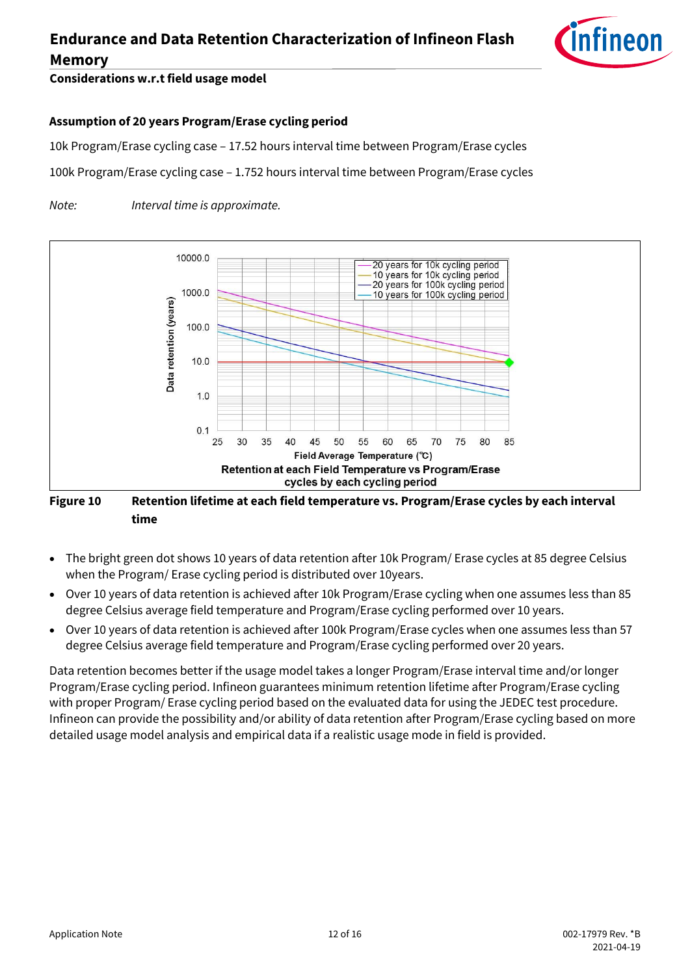

#### **Considerations w.r.t field usage model**

#### **Assumption of 20 years Program/Erase cycling period**

10k Program/Erase cycling case – 17.52 hours interval time between Program/Erase cycles

100k Program/Erase cycling case – 1.752 hours interval time between Program/Erase cycles

*Note: Interval time is approximate.*



#### <span id="page-11-0"></span>**Figure 10 Retention lifetime at each field temperature vs. Program/Erase cycles by each interval time**

- The bright green dot shows 10 years of data retention after 10k Program/ Erase cycles at 85 degree Celsius when the Program/ Erase cycling period is distributed over 10years.
- Over 10 years of data retention is achieved after 10k Program/Erase cycling when one assumes less than 85 degree Celsius average field temperature and Program/Erase cycling performed over 10 years.
- Over 10 years of data retention is achieved after 100k Program/Erase cycles when one assumes less than 57 degree Celsius average field temperature and Program/Erase cycling performed over 20 years.

Data retention becomes better if the usage model takes a longer Program/Erase interval time and/or longer Program/Erase cycling period. Infineon guarantees minimum retention lifetime after Program/Erase cycling with proper Program/ Erase cycling period based on the evaluated data for using the JEDEC test procedure. Infineon can provide the possibility and/or ability of data retention after Program/Erase cycling based on more detailed usage model analysis and empirical data if a realistic usage mode in field is provided.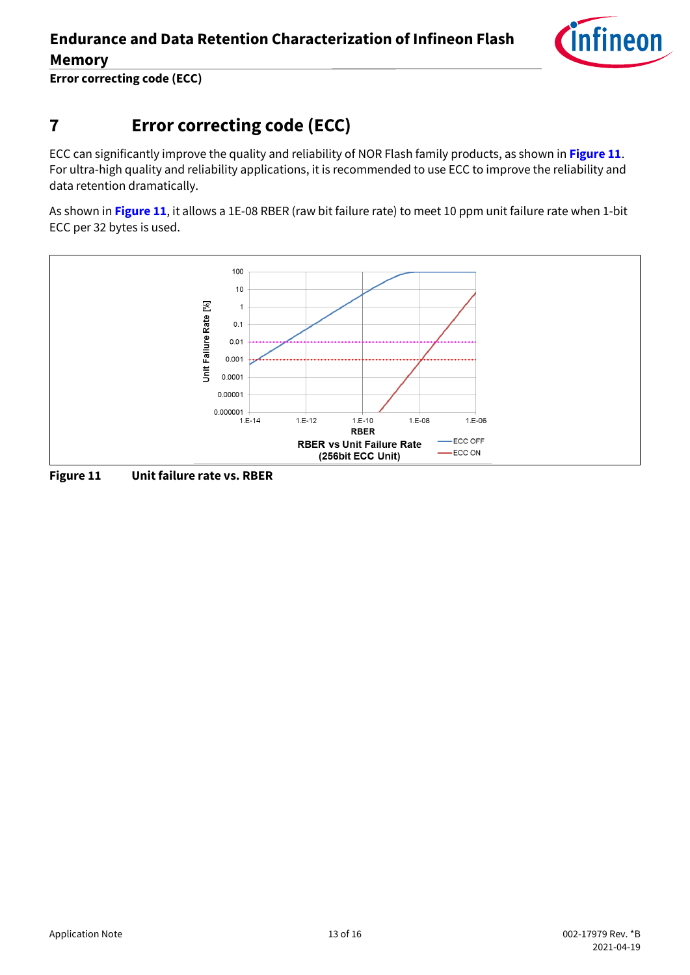

**Error correcting code (ECC)** 

## <span id="page-12-0"></span>**7 Error correcting code (ECC)**

ECC can significantly improve the quality and reliability of NOR Flash family products, as shown in **[Figure 11](#page-12-1)**. For ultra-high quality and reliability applications, it is recommended to use ECC to improve the reliability and data retention dramatically.

As shown in **[Figure 11](#page-12-1)**, it allows a 1E-08 RBER (raw bit failure rate) to meet 10 ppm unit failure rate when 1-bit ECC per 32 bytes is used.



<span id="page-12-1"></span>**Figure 11 Unit failure rate vs. RBER**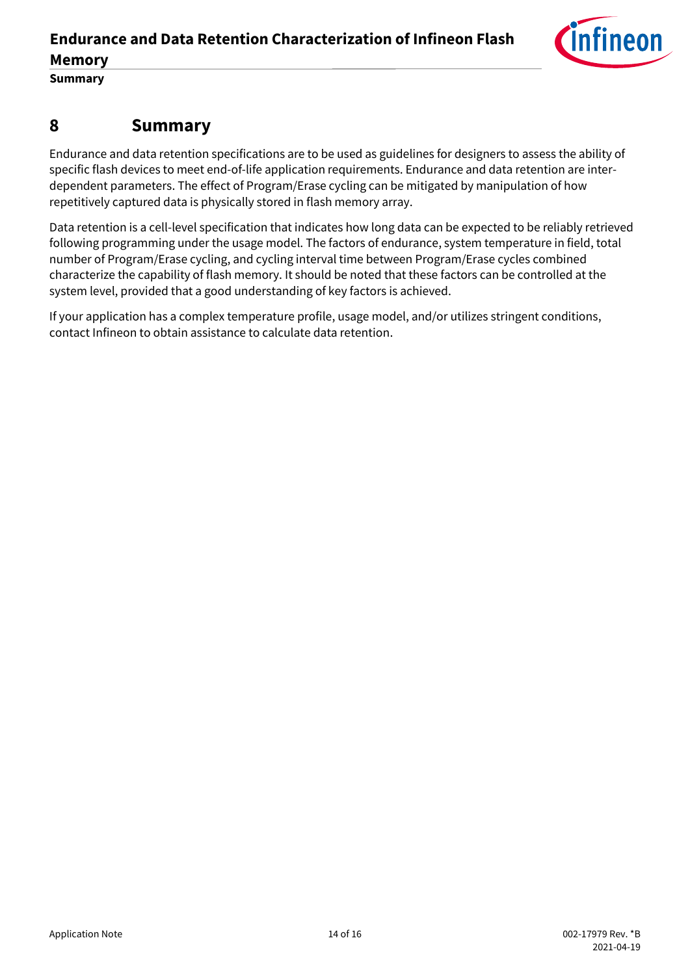

**Summary** 

#### <span id="page-13-0"></span>**8 Summary**

Endurance and data retention specifications are to be used as guidelines for designers to assess the ability of specific flash devices to meet end-of-life application requirements. Endurance and data retention are interdependent parameters. The effect of Program/Erase cycling can be mitigated by manipulation of how repetitively captured data is physically stored in flash memory array.

Data retention is a cell-level specification that indicates how long data can be expected to be reliably retrieved following programming under the usage model. The factors of endurance, system temperature in field, total number of Program/Erase cycling, and cycling interval time between Program/Erase cycles combined characterize the capability of flash memory. It should be noted that these factors can be controlled at the system level, provided that a good understanding of key factors is achieved.

If your application has a complex temperature profile, usage model, and/or utilizes stringent conditions, contact Infineon to obtain assistance to calculate data retention.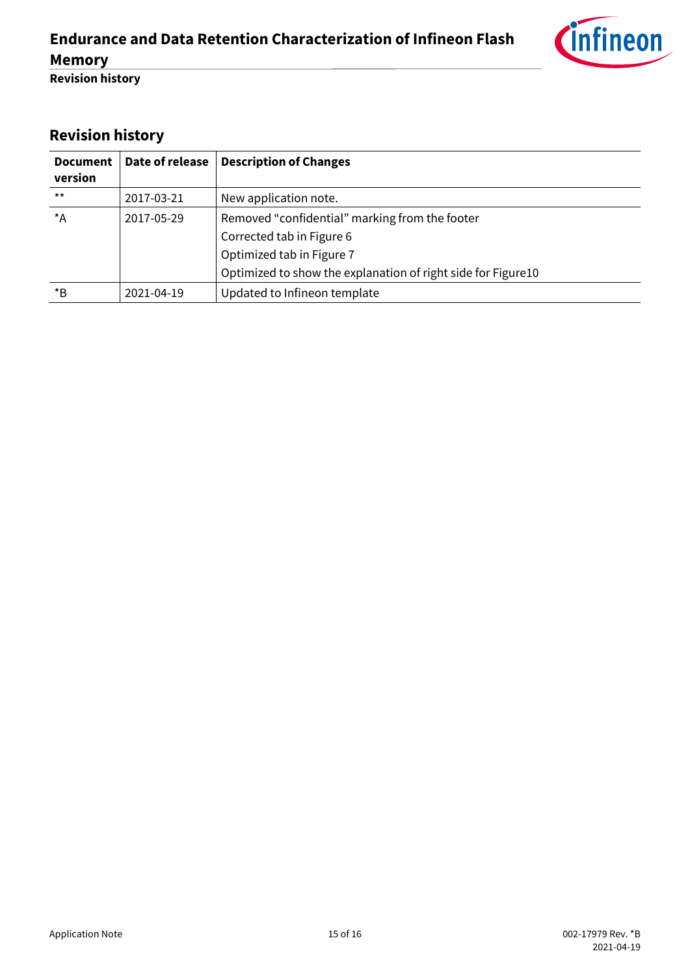

**Revision history** 

## <span id="page-14-0"></span>**Revision history**

| <b>Document</b><br>version | Date of release | <b>Description of Changes</b>                                |
|----------------------------|-----------------|--------------------------------------------------------------|
| $***$                      | 2017-03-21      | New application note.                                        |
| $^{\star}$ A               | 2017-05-29      | Removed "confidential" marking from the footer               |
|                            |                 | Corrected tab in Figure 6                                    |
|                            |                 | Optimized tab in Figure 7                                    |
|                            |                 | Optimized to show the explanation of right side for Figure10 |
| $*_{\mathsf{B}}$           | 2021-04-19      | Updated to Infineon template                                 |